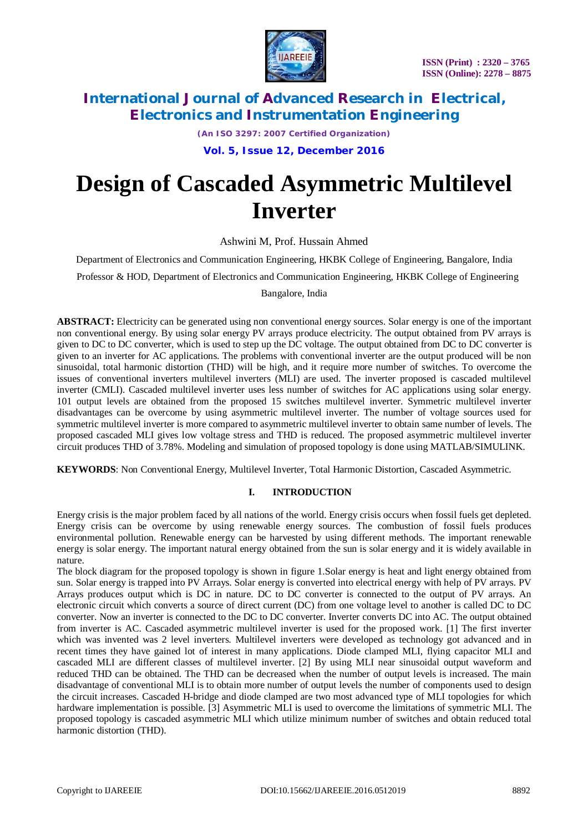

*(An ISO 3297: 2007 Certified Organization)*

**Vol. 5, Issue 12, December 2016**

# **Design of Cascaded Asymmetric Multilevel Inverter**

Ashwini M, Prof. Hussain Ahmed

Department of Electronics and Communication Engineering, HKBK College of Engineering, Bangalore, India

Professor & HOD, Department of Electronics and Communication Engineering, HKBK College of Engineering

Bangalore, India

**ABSTRACT:** Electricity can be generated using non conventional energy sources. Solar energy is one of the important non conventional energy. By using solar energy PV arrays produce electricity. The output obtained from PV arrays is given to DC to DC converter, which is used to step up the DC voltage. The output obtained from DC to DC converter is given to an inverter for AC applications. The problems with conventional inverter are the output produced will be non sinusoidal, total harmonic distortion (THD) will be high, and it require more number of switches. To overcome the issues of conventional inverters multilevel inverters (MLI) are used. The inverter proposed is cascaded multilevel inverter (CMLI). Cascaded multilevel inverter uses less number of switches for AC applications using solar energy. 101 output levels are obtained from the proposed 15 switches multilevel inverter. Symmetric multilevel inverter disadvantages can be overcome by using asymmetric multilevel inverter. The number of voltage sources used for symmetric multilevel inverter is more compared to asymmetric multilevel inverter to obtain same number of levels. The proposed cascaded MLI gives low voltage stress and THD is reduced. The proposed asymmetric multilevel inverter circuit produces THD of 3.78%. Modeling and simulation of proposed topology is done using MATLAB/SIMULINK.

**KEYWORDS**: Non Conventional Energy, Multilevel Inverter, Total Harmonic Distortion, Cascaded Asymmetric.

#### **I. INTRODUCTION**

Energy crisis is the major problem faced by all nations of the world. Energy crisis occurs when fossil fuels get depleted. Energy crisis can be overcome by using renewable energy sources. The combustion of fossil fuels produces environmental pollution. Renewable energy can be harvested by using different methods. The important renewable energy is solar energy. The important natural energy obtained from the sun is solar energy and it is widely available in nature.

The block diagram for the proposed topology is shown in figure 1.Solar energy is heat and light energy obtained from sun. Solar energy is trapped into PV Arrays. Solar energy is converted into electrical energy with help of PV arrays. PV Arrays produces output which is DC in nature. DC to DC converter is connected to the output of PV arrays. An electronic circuit which converts a source of direct current (DC) from one voltage level to another is called DC to DC converter. Now an inverter is connected to the DC to DC converter. Inverter converts DC into AC. The output obtained from inverter is AC. Cascaded asymmetric multilevel inverter is used for the proposed work. [1] The first inverter which was invented was 2 level inverters. Multilevel inverters were developed as technology got advanced and in recent times they have gained lot of interest in many applications. Diode clamped MLI, flying capacitor MLI and cascaded MLI are different classes of multilevel inverter. [2] By using MLI near sinusoidal output waveform and reduced THD can be obtained. The THD can be decreased when the number of output levels is increased. The main disadvantage of conventional MLI is to obtain more number of output levels the number of components used to design the circuit increases. Cascaded H-bridge and diode clamped are two most advanced type of MLI topologies for which hardware implementation is possible. [3] Asymmetric MLI is used to overcome the limitations of symmetric MLI. The proposed topology is cascaded asymmetric MLI which utilize minimum number of switches and obtain reduced total harmonic distortion (THD).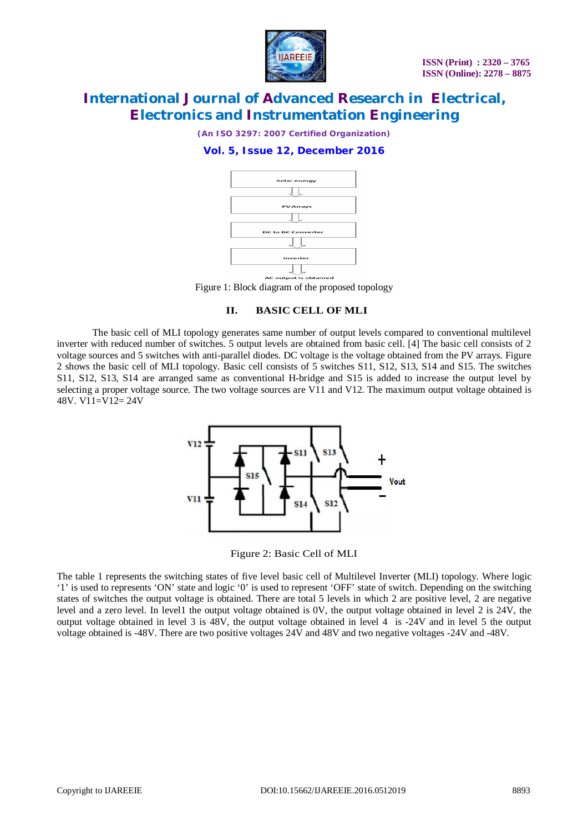

*(An ISO 3297: 2007 Certified Organization)*

### **Vol. 5, Issue 12, December 2016**



Figure 1: Block diagram of the proposed topology

#### **II. BASIC CELL OF MLI**

The basic cell of MLI topology generates same number of output levels compared to conventional multilevel inverter with reduced number of switches. 5 output levels are obtained from basic cell. [4] The basic cell consists of 2 voltage sources and 5 switches with anti-parallel diodes. DC voltage is the voltage obtained from the PV arrays. Figure 2 shows the basic cell of MLI topology. Basic cell consists of 5 switches S11, S12, S13, S14 and S15. The switches S11, S12, S13, S14 are arranged same as conventional H-bridge and S15 is added to increase the output level by selecting a proper voltage source. The two voltage sources are V11 and V12. The maximum output voltage obtained is 48V. V11=V12= 24V



Figure 2: Basic Cell of MLI

The table 1 represents the switching states of five level basic cell of Multilevel Inverter (MLI) topology. Where logic '1' is used to represents 'ON' state and logic '0' is used to represent 'OFF' state of switch. Depending on the switching states of switches the output voltage is obtained. There are total 5 levels in which 2 are positive level, 2 are negative level and a zero level. In level1 the output voltage obtained is 0V, the output voltage obtained in level 2 is 24V, the output voltage obtained in level 3 is 48V, the output voltage obtained in level 4 is -24V and in level 5 the output voltage obtained is -48V. There are two positive voltages 24V and 48V and two negative voltages -24V and -48V.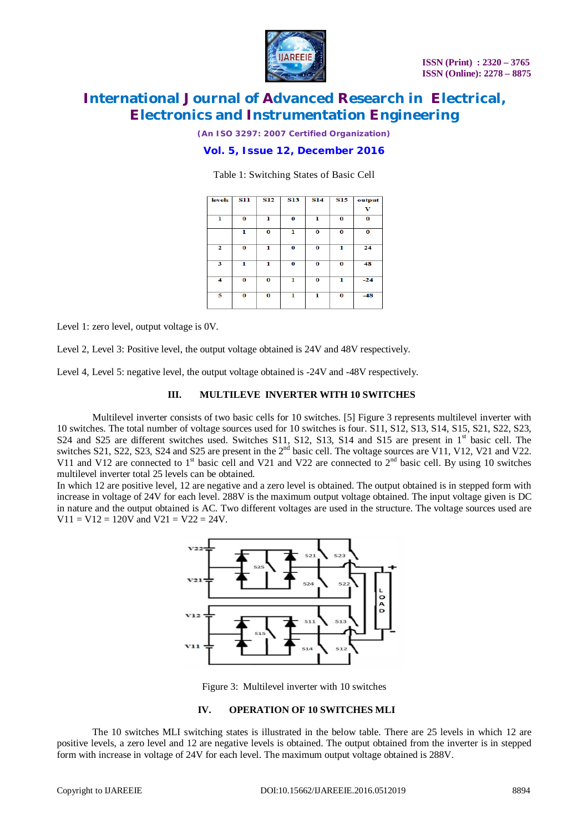

*(An ISO 3297: 2007 Certified Organization)*

### **Vol. 5, Issue 12, December 2016**

Table 1: Switching States of Basic Cell

| <b>levels</b> | <b>S11</b> | <b>S12</b> | <b>S13</b> | <b>S14</b> | <b>S15</b> | output |
|---------------|------------|------------|------------|------------|------------|--------|
|               |            |            |            |            |            | v      |
| ı             | $\bf{0}$   | ı          | 0          | ı          | $\bf{0}$   | 0      |
|               | ı          | $\bf{0}$   | ı          | $\bf{0}$   | 0          | 0      |
| 2             | 0          | ı          | 0          | $\bf{o}$   | ı          | 24     |
| 3             | ı          | ı          | $\bf{o}$   | $\bf o$    | 0          | 48     |
| 4             | $\bf{0}$   | $\bf{0}$   | ı          | $\bf{0}$   | ı          | $-24$  |
| 5             | $\bf{o}$   | $\bf{o}$   | ı          | ı          | 0          | $-48$  |

Level 1: zero level, output voltage is 0V.

Level 2, Level 3: Positive level, the output voltage obtained is 24V and 48V respectively.

Level 4, Level 5: negative level, the output voltage obtained is -24V and -48V respectively.

#### **III. MULTILEVE INVERTER WITH 10 SWITCHES**

Multilevel inverter consists of two basic cells for 10 switches. [5] Figure 3 represents multilevel inverter with 10 switches. The total number of voltage sources used for 10 switches is four. S11, S12, S13, S14, S15, S21, S22, S23, S24 and S25 are different switches used. Switches S11, S12, S13, S14 and S15 are present in 1<sup>st</sup> basic cell. The switches S21, S22, S23, S24 and S25 are present in the  $2<sup>nd</sup>$  basic cell. The voltage sources are V11, V12, V21 and V22. V11 and V12 are connected to  $1<sup>st</sup>$  basic cell and V21 and V22 are connected to  $2<sup>nd</sup>$  basic cell. By using 10 switches multilevel inverter total 25 levels can be obtained.

In which 12 are positive level, 12 are negative and a zero level is obtained. The output obtained is in stepped form with increase in voltage of 24V for each level. 288V is the maximum output voltage obtained. The input voltage given is DC in nature and the output obtained is AC. Two different voltages are used in the structure. The voltage sources used are  $V11 = V12 = 120V$  and  $V21 = V22 = 24V$ .



Figure 3: Multilevel inverter with 10 switches

#### **IV. OPERATION OF 10 SWITCHES MLI**

The 10 switches MLI switching states is illustrated in the below table. There are 25 levels in which 12 are positive levels, a zero level and 12 are negative levels is obtained. The output obtained from the inverter is in stepped form with increase in voltage of 24V for each level. The maximum output voltage obtained is 288V.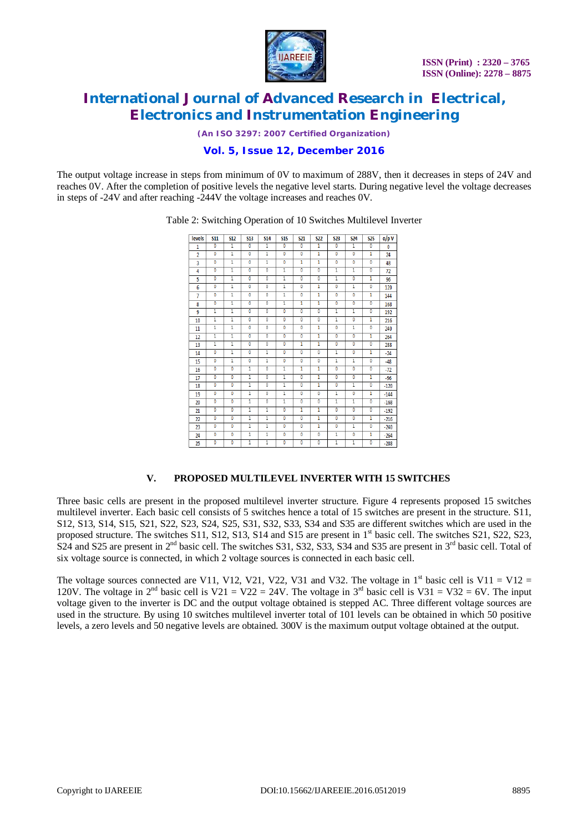

*(An ISO 3297: 2007 Certified Organization)*

### **Vol. 5, Issue 12, December 2016**

The output voltage increase in steps from minimum of 0V to maximum of 288V, then it decreases in steps of 24V and reaches 0V. After the completion of positive levels the negative level starts. During negative level the voltage decreases in steps of -24V and after reaching -244V the voltage increases and reaches 0V.

| levels         | <b>S11</b>              | <b>S12</b>              | <b>S13</b>     | <b>S14</b>              | <b>S15</b>              | <b>S21</b>              | <b>S22</b>     | <b>S23</b>     | <b>S24</b>              | <b>S25</b>     | o/pV   |
|----------------|-------------------------|-------------------------|----------------|-------------------------|-------------------------|-------------------------|----------------|----------------|-------------------------|----------------|--------|
| $\mathbf{1}$   | $\overline{0}$          | 1                       | $\overline{0}$ | 1                       | $\overline{0}$          | $\overline{0}$          | 1              | $\overline{0}$ | 1                       | $\overline{0}$ | 0      |
| $\overline{2}$ | 0                       | 1                       | $\overline{0}$ | 1                       | $\mathbf{0}$            | 0                       | ī              | 0              | $\mathbf{0}$            | 1              | 24     |
| 3              | $\overline{0}$          | ī                       | $\overline{0}$ | 1                       | $\overline{0}$          | 1                       | 1              | $\overline{0}$ | $\overline{0}$          | 0              | 48     |
| 4              | $\overline{0}$          | 1                       | Ō              | Ō                       | ī                       | 0                       | 0              | 1              | ī                       | 0              | 72     |
| 5              | $\overline{\mathbf{0}}$ | 1                       | $\overline{0}$ | $\overline{0}$          | ī                       | $\overline{\mathbf{0}}$ | $\overline{0}$ | 1              | $\overline{\mathbf{0}}$ | 1              | 96     |
| 6              | $\overline{0}$          | 1                       | $\overline{0}$ | $\overline{0}$          | 1                       | Ō                       | 1              | $\overline{0}$ | 1                       | $\overline{0}$ | 120    |
| $\overline{7}$ | $\mathbf{0}$            | 1                       | $\overline{0}$ | $\overline{0}$          | ī                       | 0                       | ī              | 0              | $\mathbf{0}$            | 1              | 144    |
| 8              | $\overline{\mathbf{0}}$ | 1                       | $\overline{0}$ | $\overline{0}$          | 1                       | 1                       | 1              | $\overline{0}$ | $\overline{0}$          | $\overline{0}$ | 168    |
| 9              | ī                       | 1                       | $\overline{0}$ | $\overline{0}$          | Ō                       | ٥                       | O              | 1              | ī                       | 0              | 192    |
| 10             | 1                       | 1                       | $\overline{0}$ | $\overline{0}$          | $\overline{\mathbf{0}}$ | $\overline{0}$          | $\overline{0}$ | 1              | 0                       | 1              | 216    |
| 11             | 1                       | 1                       | $\overline{0}$ | $\overline{0}$          | Ō                       | 0                       | 1              | $\overline{0}$ | ī                       | $\mathbf{0}$   | 240    |
| 12             | ī                       | 1                       | $\overline{0}$ | $\overline{\mathbf{0}}$ | Ō                       | Ō                       | 1              | $\overline{0}$ | $\mathbf{0}$            | 1              | 264    |
| 13             | 1                       | 1                       | $\overline{0}$ | $\overline{0}$          | Ō                       | 1                       | 1              | $\overline{0}$ | $\overline{0}$          | $\overline{0}$ | 288    |
| 14             | $\overline{0}$          | 1                       | $\overline{0}$ | 1                       | $\overline{0}$          | 0                       | $\overline{0}$ | 1              | $\mathbf{0}$            | 1              | $-24$  |
| 15             | $\overline{0}$          | 1                       | $\overline{0}$ | ī                       | $\overline{0}$          | Ō                       | $\overline{0}$ | 1              | 1                       | $\overline{0}$ | $-48$  |
| 16             | Ō                       | 0                       | 1              | Ō                       | ī                       | 1                       | ī              | $\overline{0}$ | $\mathbf{0}$            | 0              | $-72$  |
| 17             | $\overline{0}$          | Ō                       | 1              | $\overline{0}$          | ī                       | 0                       | ī              | $\overline{0}$ | $\overline{\mathbf{0}}$ | 1              | $-96$  |
| 18             | $\overline{0}$          | Ō                       | 1              | O                       | 1                       | 0                       | 1              | $\overline{0}$ | 1                       | $\overline{0}$ | $-120$ |
| 19             | $\overline{0}$          | Ō                       | 1              | $\overline{0}$          | ī                       | $\overline{0}$          | $\overline{0}$ | 1              | $\mathbf{0}$            | 1              | $-144$ |
| 20             | $\overline{0}$          | $\overline{0}$          | 1              | $\overline{0}$          | ī                       | 0                       | $\overline{0}$ | 1              | 1                       | $\overline{0}$ | $-168$ |
| 21             | $\overline{0}$          | Ō                       | 1              | 1                       | Ō                       | 1                       | ī              | $\overline{0}$ | $\mathbf{0}$            | 0              | $-192$ |
| 22             | $\overline{0}$          | $\overline{\mathbf{0}}$ | 1              | 1                       | $\overline{\mathbf{0}}$ | $\overline{0}$          | 1              | $\overline{0}$ | $\overline{\mathbf{0}}$ | 1              | $-216$ |
| 23             | $\mathbf 0$             | 0                       | 1              | 1                       | $\overline{0}$          | 0                       | 1              | 0              | 1                       | $\overline{0}$ | $-240$ |
| 24             | 0                       | Ō                       | ī              | 1                       | Ō                       | Ō                       | Ō              | 1              | 0                       | 1              | $-264$ |
| 25             | $\overline{0}$          | O                       | 1              | 1                       | $\overline{0}$          | O                       | $\overline{0}$ | 1              | 1                       | $\overline{0}$ | $-288$ |

Table 2: Switching Operation of 10 Switches Multilevel Inverter

#### **V. PROPOSED MULTILEVEL INVERTER WITH 15 SWITCHES**

Three basic cells are present in the proposed multilevel inverter structure. Figure 4 represents proposed 15 switches multilevel inverter. Each basic cell consists of 5 switches hence a total of 15 switches are present in the structure. S11, S12, S13, S14, S15, S21, S22, S23, S24, S25, S31, S32, S33, S34 and S35 are different switches which are used in the proposed structure. The switches S11, S12, S13, S14 and S15 are present in  $1<sup>st</sup>$  basic cell. The switches S21, S22, S23, S24 and S25 are present in  $2<sup>nd</sup>$  basic cell. The switches S31, S32, S33, S34 and S35 are present in  $3<sup>rd</sup>$  basic cell. Total of six voltage source is connected, in which 2 voltage sources is connected in each basic cell.

The voltage sources connected are V11, V12, V21, V22, V31 and V32. The voltage in  $1<sup>st</sup>$  basic cell is V11 = V12 = 120V. The voltage in  $2^{nd}$  basic cell is  $\sqrt{21} = \sqrt{22} = 24\sqrt{2}$ . The voltage in  $3^{rd}$  basic cell is  $\sqrt{31} = \sqrt{32} = 6\sqrt{2}$ . The input voltage given to the inverter is DC and the output voltage obtained is stepped AC. Three different voltage sources are used in the structure. By using 10 switches multilevel inverter total of 101 levels can be obtained in which 50 positive levels, a zero levels and 50 negative levels are obtained. 300V is the maximum output voltage obtained at the output.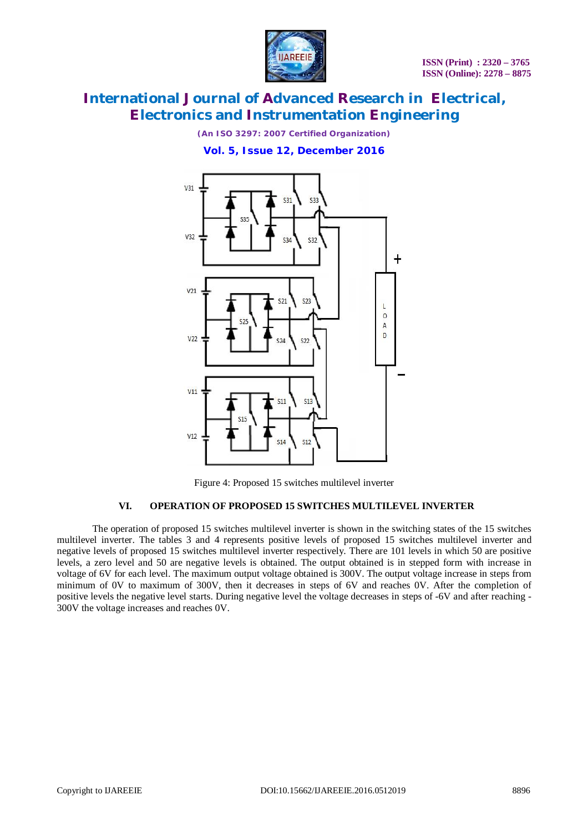

*(An ISO 3297: 2007 Certified Organization)*

**Vol. 5, Issue 12, December 2016**



Figure 4: Proposed 15 switches multilevel inverter

#### **VI. OPERATION OF PROPOSED 15 SWITCHES MULTILEVEL INVERTER**

The operation of proposed 15 switches multilevel inverter is shown in the switching states of the 15 switches multilevel inverter. The tables 3 and 4 represents positive levels of proposed 15 switches multilevel inverter and negative levels of proposed 15 switches multilevel inverter respectively. There are 101 levels in which 50 are positive levels, a zero level and 50 are negative levels is obtained. The output obtained is in stepped form with increase in voltage of 6V for each level. The maximum output voltage obtained is 300V. The output voltage increase in steps from minimum of 0V to maximum of 300V, then it decreases in steps of 6V and reaches 0V. After the completion of positive levels the negative level starts. During negative level the voltage decreases in steps of -6V and after reaching - 300V the voltage increases and reaches 0V.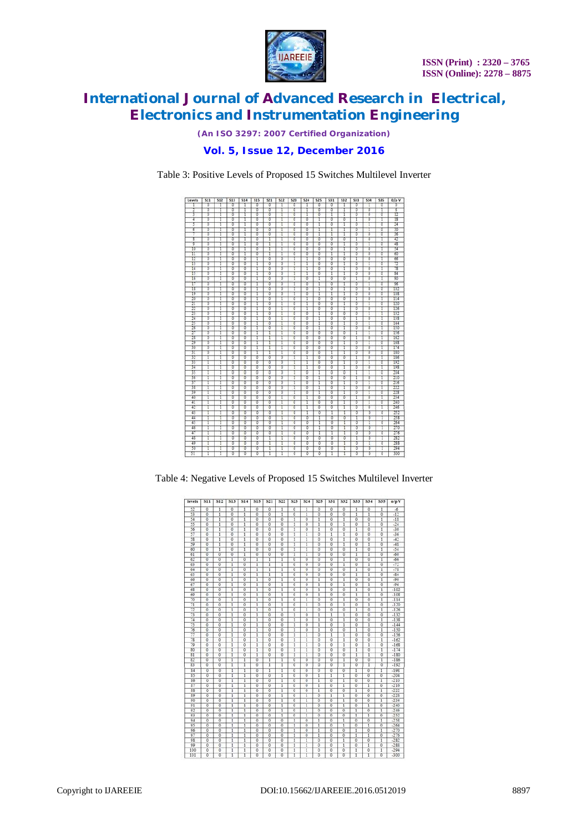

*(An ISO 3297: 2007 Certified Organization)*

### **Vol. 5, Issue 12, December 2016**

Table 3: Positive Levels of Proposed 15 Switches Multilevel Inverter



Table 4: Negative Levels of Proposed 15 Switches Multilevel Inverter

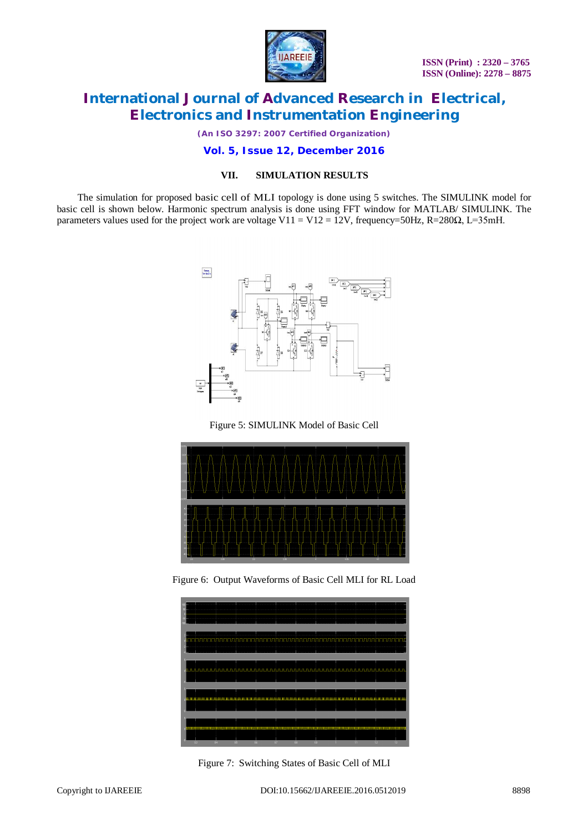

*(An ISO 3297: 2007 Certified Organization)*

#### **Vol. 5, Issue 12, December 2016**

#### **VII. SIMULATION RESULTS**

The simulation for proposed basic cell of MLI topology is done using 5 switches. The SIMULINK model for basic cell is shown below. Harmonic spectrum analysis is done using FFT window for MATLAB/ SIMULINK. The parameters values used for the project work are voltage V11 = V12 = 12V, frequency=50Hz, R=280 $\Omega$ , L=35mH.







Figure 6: Output Waveforms of Basic Cell MLI for RL Load



Figure 7: Switching States of Basic Cell of MLI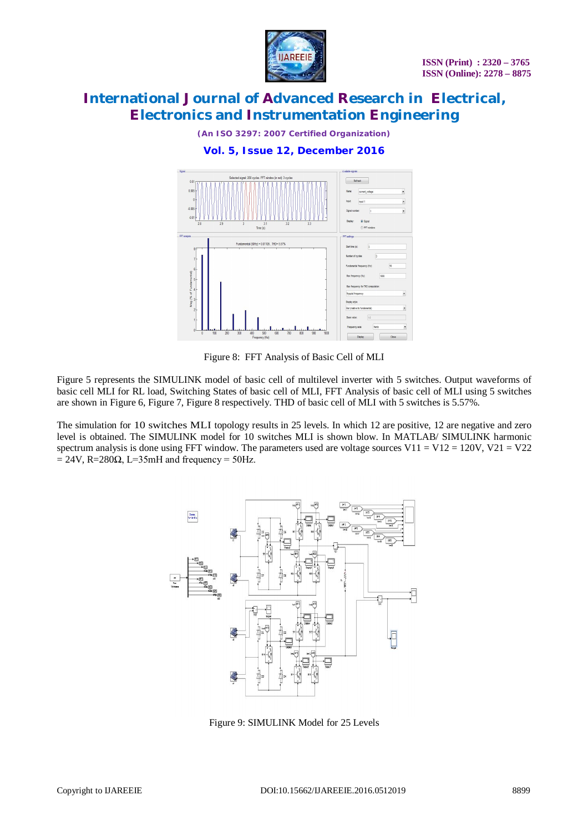

*(An ISO 3297: 2007 Certified Organization)*

### **Vol. 5, Issue 12, December 2016**



Figure 8: FFT Analysis of Basic Cell of MLI

Figure 5 represents the SIMULINK model of basic cell of multilevel inverter with 5 switches. Output waveforms of basic cell MLI for RL load, Switching States of basic cell of MLI, FFT Analysis of basic cell of MLI using 5 switches are shown in Figure 6, Figure 7, Figure 8 respectively. THD of basic cell of MLI with 5 switches is 5.57%.

The simulation for 10 switches MLI topology results in 25 levels. In which 12 are positive, 12 are negative and zero level is obtained. The SIMULINK model for 10 switches MLI is shown blow. In MATLAB/ SIMULINK harmonic spectrum analysis is done using FFT window. The parameters used are voltage sources V11 = V12 = 120V, V21 = V22  $= 24V$ , R=280 $\Omega$ , L=35mH and frequency = 50Hz.



Figure 9: SIMULINK Model for 25 Levels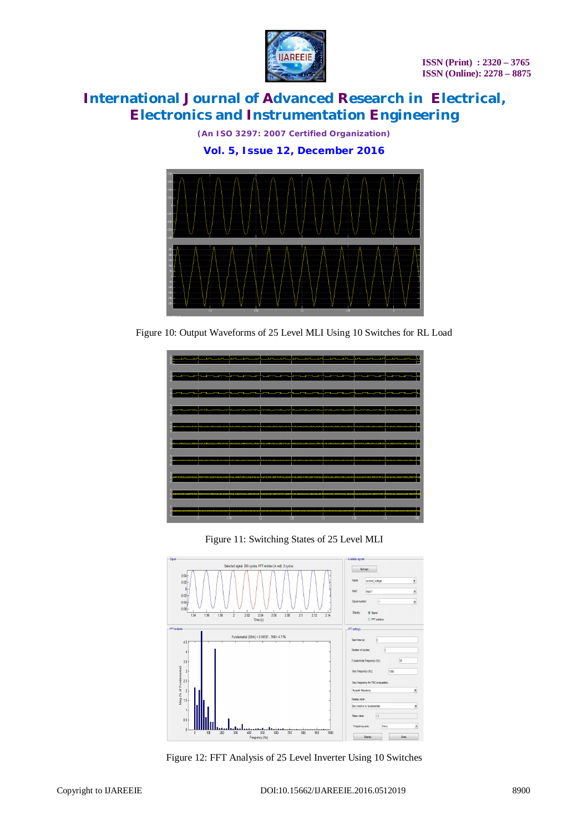

*(An ISO 3297: 2007 Certified Organization)*

**Vol. 5, Issue 12, December 2016**



Figure 10: Output Waveforms of 25 Level MLI Using 10 Switches for RL Load



Figure 11: Switching States of 25 Level MLI



Figure 12: FFT Analysis of 25 Level Inverter Using 10 Switches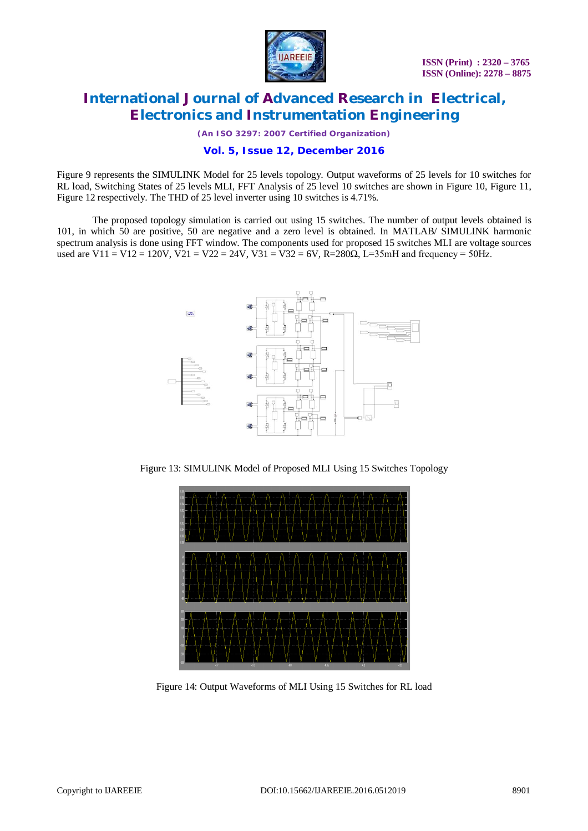

*(An ISO 3297: 2007 Certified Organization)*

### **Vol. 5, Issue 12, December 2016**

Figure 9 represents the SIMULINK Model for 25 levels topology. Output waveforms of 25 levels for 10 switches for RL load, Switching States of 25 levels MLI, FFT Analysis of 25 level 10 switches are shown in Figure 10, Figure 11, Figure 12 respectively. The THD of 25 level inverter using 10 switches is 4.71%.

The proposed topology simulation is carried out using 15 switches. The number of output levels obtained is 101, in which 50 are positive, 50 are negative and a zero level is obtained. In MATLAB/ SIMULINK harmonic spectrum analysis is done using FFT window. The components used for proposed 15 switches MLI are voltage sources used are V11 = V12 = 120V, V21 = V22 = 24V, V31 = V32 = 6V, R=280 $\Omega$ , L=35mH and frequency = 50Hz.



Figure 13: SIMULINK Model of Proposed MLI Using 15 Switches Topology



Figure 14: Output Waveforms of MLI Using 15 Switches for RL load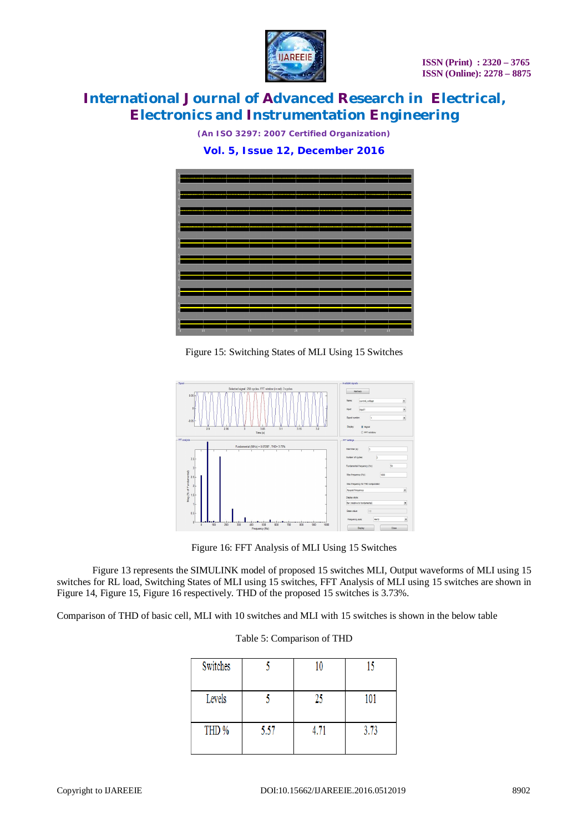

*(An ISO 3297: 2007 Certified Organization)*

**Vol. 5, Issue 12, December 2016**



Figure 15: Switching States of MLI Using 15 Switches



Figure 16: FFT Analysis of MLI Using 15 Switches

Figure 13 represents the SIMULINK model of proposed 15 switches MLI, Output waveforms of MLI using 15 switches for RL load, Switching States of MLI using 15 switches, FFT Analysis of MLI using 15 switches are shown in Figure 14, Figure 15, Figure 16 respectively. THD of the proposed 15 switches is 3.73%.

Comparison of THD of basic cell, MLI with 10 switches and MLI with 15 switches is shown in the below table

#### Table 5: Comparison of THD

| Switches |      | 10   |      |
|----------|------|------|------|
| Levels   |      | 25   | 101  |
| THD %    | 5.57 | 4.71 | 3.73 |